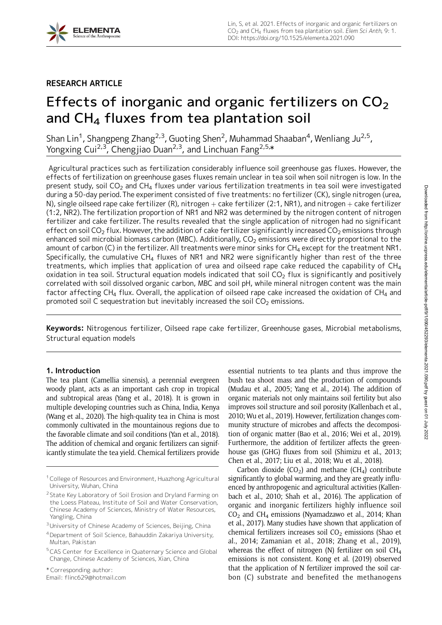## RESEARCH ARTICLE

# Effects of inorganic and organic fertilizers on  $CO<sub>2</sub>$ and  $CH<sub>4</sub>$  fluxes from tea plantation soil

Shan Lin<sup>1</sup>, Shangpeng Zhang<sup>2,3</sup>, Guoting Shen<sup>2</sup>, Muhammad Shaaban<sup>4</sup>, Wenliang Ju<sup>2,5</sup>, Yongxing Cui<sup>2,3</sup>, Chengjiao Duan<sup>2,3</sup>, and Linchuan Fang<sup>2,5,</sup>\*

Agricultural practices such as fertilization considerably influence soil greenhouse gas fluxes. However, the effects of fertilization on greenhouse gases fluxes remain unclear in tea soil when soil nitrogen is low. In the present study, soil CO<sub>2</sub> and CH<sub>4</sub> fluxes under various fertilization treatments in tea soil were investigated during a 50-day period.The experiment consisted of five treatments: no fertilizer (CK), single nitrogen (urea, N), single oilseed rape cake fertilizer (R), nitrogen  $+$  cake fertilizer (2:1, NR1), and nitrogen  $+$  cake fertilizer (1:2, NR2). The fertilization proportion of NR1 and NR2 was determined by the nitrogen content of nitrogen fertilizer and cake fertilizer. The results revealed that the single application of nitrogen had no significant effect on soil CO<sub>2</sub> flux. However, the addition of cake fertilizer significantly increased CO<sub>2</sub> emissions through enhanced soil microbial biomass carbon (MBC). Additionally,  $CO<sub>2</sub>$  emissions were directly proportional to the amount of carbon (C) in the fertilizer. All treatments were minor sinks for  $CH<sub>4</sub>$  except for the treatment NR1. Specifically, the cumulative  $CH<sub>4</sub>$  fluxes of NR1 and NR2 were significantly higher than rest of the three treatments, which implies that application of urea and oilseed rape cake reduced the capability of  $CH<sub>4</sub>$ oxidation in tea soil. Structural equation models indicated that soil  $CO<sub>2</sub>$  flux is significantly and positively correlated with soil dissolved organic carbon, MBC and soil pH, while mineral nitrogen content was the main factor affecting CH<sub>4</sub> flux. Overall, the application of oilseed rape cake increased the oxidation of CH<sub>4</sub> and promoted soil C sequestration but inevitably increased the soil  $CO<sub>2</sub>$  emissions.

Keywords: Nitrogenous fertilizer, Oilseed rape cake fertilizer, Greenhouse gases, Microbial metabolisms, Structural equation models

## 1. Introduction

The tea plant (Camellia sinensis), a perennial evergreen woody plant, acts as an important cash crop in tropical and subtropical areas (Yang et al., 2018). It is grown in multiple developing countries such as China, India, Kenya (Wang et al., 2020). The high-quality tea in China is most commonly cultivated in the mountainous regions due to the favorable climate and soil conditions (Yan et al., 2018). The addition of chemical and organic fertilizers can significantly stimulate the tea yield. Chemical fertilizers provide

\* Corresponding author:

Email: flinc629@hotmail.com

essential nutrients to tea plants and thus improve the bush tea shoot mass and the production of compounds (Mudau et al., 2005; Yang et al., 2014). The addition of organic materials not only maintains soil fertility but also improves soil structure and soil porosity (Kallenbach et al., 2010; Wu et al., 2019). However, fertilization changes community structure of microbes and affects the decomposition of organic matter (Bao et al., 2016; Wei et al., 2019). Furthermore, the addition of fertilizer affects the greenhouse gas (GHG) fluxes from soil (Shimizu et al., 2013; Chen et al., 2017; Liu et al., 2018; Wu et al., 2018).

Carbon dioxide  $(CO<sub>2</sub>)$  and methane  $(CH<sub>4</sub>)$  contribute significantly to global warming, and they are greatly influenced by anthropogenic and agricultural activities (Kallenbach et al., 2010; Shah et al., 2016). The application of organic and inorganic fertilizers highly influence soil  $CO<sub>2</sub>$  and CH<sub>4</sub> emissions (Nyamadzawo et al., 2014; Khan et al., 2017). Many studies have shown that application of chemical fertilizers increases soil  $CO<sub>2</sub>$  emissions (Shao et al., 2014; Zamanian et al., 2018; Zhang et al., 2019), whereas the effect of nitrogen (N) fertilizer on soil  $CH<sub>4</sub>$ emissions is not consistent. Kong et al. (2019) observed that the application of N fertilizer improved the soil carbon (C) substrate and benefited the methanogens

<sup>&</sup>lt;sup>1</sup> College of Resources and Environment, Huazhong Agricultural University, Wuhan, China

<sup>&</sup>lt;sup>2</sup> State Key Laboratory of Soil Erosion and Dryland Farming on the Loess Plateau, Institute of Soil and Water Conservation, Chinese Academy of Sciences, Ministry of Water Resources, Yangling, China

<sup>&</sup>lt;sup>3</sup>University of Chinese Academy of Sciences, Beijing, China

<sup>4</sup>Department of Soil Science, Bahauddin Zakariya University, Multan, Pakistan

<sup>5</sup>CAS Center for Excellence in Quaternary Science and Global Change, Chinese Academy of Sciences, Xian, China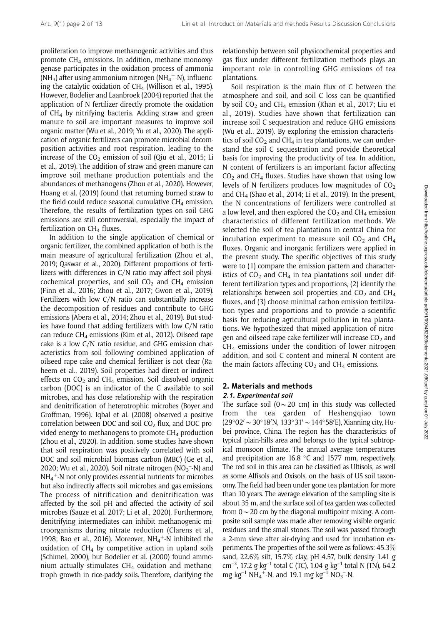proliferation to improve methanogenic activities and thus promote  $CH_4$  emissions. In addition, methane monooxygenase participates in the oxidation process of ammonia (NH<sub>3</sub>) after using ammonium nitrogen (NH<sub>4</sub><sup>+</sup>-N), influencing the catalytic oxidation of  $CH<sub>4</sub>$  (Willison et al., 1995). However, Bodelier and Laanbroek (2004) reported that the application of N fertilizer directly promote the oxidation of  $CH<sub>4</sub>$  by nitrifying bacteria. Adding straw and green manure to soil are important measures to improve soil organic matter (Wu et al., 2019; Yu et al., 2020). The application of organic fertilizers can promote microbial decomposition activities and root respiration, leading to the increase of the  $CO<sub>2</sub>$  emission of soil (Qiu et al., 2015; Li et al., 2019). The addition of straw and green manure can improve soil methane production potentials and the abundances of methanogens (Zhou et al., 2020). However, Hoang et al. (2019) found that returning burned straw to the field could reduce seasonal cumulative  $CH<sub>4</sub>$  emission. Therefore, the results of fertilization types on soil GHG emissions are still controversial, especially the impact of fertilization on  $CH<sub>4</sub>$  fluxes.

In addition to the single application of chemical or organic fertilizer, the combined application of both is the main measure of agricultural fertilization (Zhou et al., 2019; Qaswar et al., 2020). Different proportions of fertilizers with differences in C/N ratio may affect soil physicochemical properties, and soil  $CO<sub>2</sub>$  and  $CH<sub>4</sub>$  emission (Finn et al., 2016; Zhou et al., 2017; Gwon et al., 2019). Fertilizers with low C/N ratio can substantially increase the decomposition of residues and contribute to GHG emissions (Abera et al., 2014; Zhou et al., 2019). But studies have found that adding fertilizers with low C/N ratio can reduce  $CH_4$  emissions (Kim et al., 2012). Oilseed rape cake is a low C/N ratio residue, and GHG emission characteristics from soil following combined application of oilseed rape cake and chemical fertilizer is not clear (Raheem et al., 2019). Soil properties had direct or indirect effects on  $CO<sub>2</sub>$  and  $CH<sub>4</sub>$  emission. Soil dissolved organic carbon (DOC) is an indicator of the C available to soil microbes, and has close relationship with the respiration and denitrification of heterotrophic microbes (Boyer and Groffman, 1996). Iqbal et al. (2008) observed a positive correlation between DOC and soil  $CO<sub>2</sub>$  flux, and DOC provided energy to methanogens to promote  $CH<sub>4</sub>$  production (Zhou et al., 2020). In addition, some studies have shown that soil respiration was positively correlated with soil DOC and soil microbial biomass carbon (MBC) (Ge et al., 2020; Wu et al., 2020). Soil nitrate nitrogen ( $NO<sub>3</sub><sup>-</sup>-N$ ) and  $NH_4^+$ -N not only provides essential nutrients for microbes but also indirectly affects soil microbes and gas emissions. The process of nitrification and denitrification was affected by the soil pH and affected the activity of soil microbes (Sauze et al. 2017; Li et al., 2020). Furthermore, denitrifying intermediates can inhibit methanogenic microorganisms during nitrate reduction (Clarens et al., 1998; Bao et al., 2016). Moreover,  $NH_4^+$ -N inhibited the oxidation of  $CH_4$  by competitive action in upland soils (Schimel, 2000), but Bodelier et al. (2000) found ammonium actually stimulates  $CH<sub>4</sub>$  oxidation and methanotroph growth in rice-paddy soils. Therefore, clarifying the

relationship between soil physicochemical properties and gas flux under different fertilization methods plays an important role in controlling GHG emissions of tea plantations.

Soil respiration is the main flux of C between the atmosphere and soil, and soil C loss can be quantified by soil  $CO<sub>2</sub>$  and CH<sub>4</sub> emission (Khan et al., 2017; Liu et al., 2019). Studies have shown that fertilization can increase soil C sequestration and reduce GHG emissions (Wu et al., 2019). By exploring the emission characteristics of soil  $CO<sub>2</sub>$  and CH<sub>4</sub> in tea plantations, we can understand the soil C sequestration and provide theoretical basis for improving the productivity of tea. In addition, N content of fertilizers is an important factor affecting  $CO<sub>2</sub>$  and CH<sub>4</sub> fluxes. Studies have shown that using low levels of N fertilizers produces low magnitudes of  $CO<sub>2</sub>$ and CH4 (Shao et al., 2014; Li et al., 2019). In the present, the N concentrations of fertilizers were controlled at a low level, and then explored the  $CO<sub>2</sub>$  and  $CH<sub>4</sub>$  emission characteristics of different fertilization methods. We selected the soil of tea plantations in central China for incubation experiment to measure soil  $CO<sub>2</sub>$  and  $CH<sub>4</sub>$ fluxes. Organic and inorganic fertilizers were applied in the present study. The specific objectives of this study were to (1) compare the emission pattern and characteristics of  $CO<sub>2</sub>$  and CH<sub>4</sub> in tea plantations soil under different fertilization types and proportions, (2) identify the relationships between soil properties and  $CO<sub>2</sub>$  and  $CH<sub>4</sub>$ fluxes, and (3) choose minimal carbon emission fertilization types and proportions and to provide a scientific basis for reducing agricultural pollution in tea plantations. We hypothesized that mixed application of nitrogen and oilseed rape cake fertilizer will increase  $CO<sub>2</sub>$  and  $CH<sub>4</sub>$  emissions under the condition of lower nitrogen addition, and soil C content and mineral N content are the main factors affecting  $CO<sub>2</sub>$  and  $CH<sub>4</sub>$  emissions.

## 2. Materials and methods 2.1. Experimental soil

The surface soil ( $0 \sim 20$  cm) in this study was collected from the tea garden of Heshengqiao town  $(29^{\circ}02' \sim 30^{\circ}18' N, 133^{\circ}31' \sim 144^{\circ}58' E)$ , Xianning city, Hubei province, China. The region has the characteristics of typical plain-hills area and belongs to the typical subtropical monsoon climate. The annual average temperatures and precipitation are  $16.8$  °C and  $1577$  mm, respectively. The red soil in this area can be classified as Ultisols, as well as some Alfisols and Oxisols, on the basis of US soil taxonomy. The field had been under gone tea plantation for more than 10 years. The average elevation of the sampling site is about 35 m, and the surface soil of tea garden was collected from  $0 \sim 20$  cm by the diagonal multipoint mixing. A composite soil sample was made after removing visible organic residues and the small stones. The soil was passed through a 2-mm sieve after air-drying and used for incubation experiments. The properties of the soil were as follows: 45.3% sand, 22.6% silt, 15.7% clay, pH 4.57, bulk density 1.41 g  $cm^{-3}$ , 17.2 g kg<sup>-1</sup> total C (TC), 1.04 g kg<sup>-1</sup> total N (TN), 64.2 mg kg<sup>-1</sup> NH<sub>4</sub><sup>+</sup>-N, and 19.1 mg kg<sup>-1</sup> NO<sub>3</sub><sup>-</sup>-N.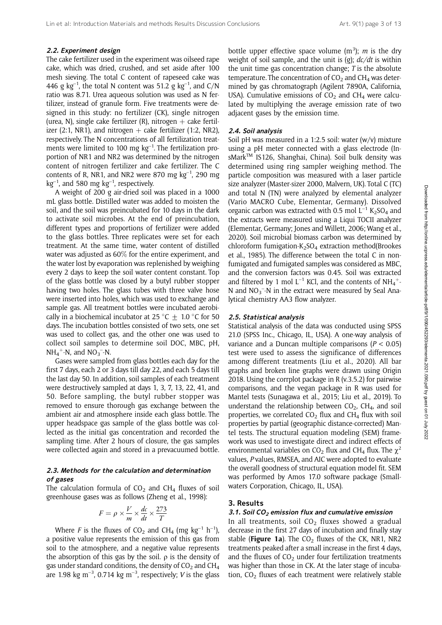#### 2.2. Experiment design

The cake fertilizer used in the experiment was oilseed rape cake, which was dried, crushed, and set aside after 100 mesh sieving. The total C content of rapeseed cake was 446 g kg<sup>-1</sup>, the total N content was 51.2 g kg<sup>-1</sup>, and C/N ratio was 8.71. Urea aqueous solution was used as N fertilizer, instead of granule form. Five treatments were designed in this study: no fertilizer (CK), single nitrogen (urea, N), single cake fertilizer (R), nitrogen  $+$  cake fertilizer (2:1, NR1), and nitrogen  $+$  cake fertilizer (1:2, NR2), respectively. The N concentrations of all fertilization treatments were limited to 100 mg  $kg^{-1}$ . The fertilization proportion of NR1 and NR2 was determined by the nitrogen content of nitrogen fertilizer and cake fertilizer. The C contents of R, NR1, and NR2 were 870 mg  $kg^{-1}$ , 290 mg  $kg^{-1}$ , and 580 mg  $kg^{-1}$ , respectively.

A weight of 200 g air-dried soil was placed in a 1000 mL glass bottle. Distilled water was added to moisten the soil, and the soil was preincubated for 10 days in the dark to activate soil microbes. At the end of preincubation, different types and proportions of fertilizer were added to the glass bottles. Three replicates were set for each treatment. At the same time, water content of distilled water was adjusted as 60% for the entire experiment, and the water lost by evaporation was replenished by weighing every 2 days to keep the soil water content constant. Top of the glass bottle was closed by a butyl rubber stopper having two holes. The glass tubes with three valve hose were inserted into holes, which was used to exchange and sample gas. All treatment bottles were incubated aerobically in a biochemical incubator at  $25 °C \pm 1.0 °C$  for 50 days. The incubation bottles consisted of two sets, one set was used to collect gas, and the other one was used to collect soil samples to determine soil DOC, MBC, pH,  $NH_4^+$ -N, and  $NO_3^-$ -N.

Gases were sampled from glass bottles each day for the first 7 days, each 2 or 3 days till day 22, and each 5 days till the last day 50. In addition, soil samples of each treatment were destructively sampled at days 1, 3, 7, 13, 22, 41, and 50. Before sampling, the butyl rubber stopper was removed to ensure thorough gas exchange between the ambient air and atmosphere inside each glass bottle. The upper headspace gas sample of the glass bottle was collected as the initial gas concentration and recorded the sampling time. After 2 hours of closure, the gas samples were collected again and stored in a prevacuumed bottle.

### 2.3. Methods for the calculation and determination of gases

The calculation formula of  $CO<sub>2</sub>$  and  $CH<sub>4</sub>$  fluxes of soil greenhouse gases was as follows (Zheng et al., 1998):

$$
F = \rho \times \frac{V}{m} \times \frac{dc}{dt} \times \frac{273}{T}
$$

Where F is the fluxes of CO<sub>2</sub> and CH<sub>4</sub> (mg kg<sup>-1</sup> h<sup>-1</sup>), a positive value represents the emission of this gas from soil to the atmosphere, and a negative value represents the absorption of this gas by the soil.  $\rho$  is the density of gas under standard conditions, the density of  $CO<sub>2</sub>$  and  $CH<sub>4</sub>$ are 1.98 kg m<sup>-3</sup>, 0.714 kg m<sup>-3</sup>, respectively; *V* is the glass

bottle upper effective space volume  $(m^3)$ ; m is the dry weight of soil sample, and the unit is (g);  $dc/dt$  is within the unit time gas concentration change;  $T$  is the absolute temperature. The concentration of  $CO<sub>2</sub>$  and  $CH<sub>4</sub>$  was determined by gas chromatograph (Agilent 7890A, California, USA). Cumulative emissions of  $CO<sub>2</sub>$  and CH<sub>4</sub> were calculated by multiplying the average emission rate of two adjacent gases by the emission time.

#### 2.4. Soil analysis

Soil pH was measured in a 1:2.5 soil: water (w/v) mixture using a pH meter connected with a glass electrode (InsMarkTM IS126, Shanghai, China). Soil bulk density was determined using ring sampler weighing method. The particle composition was measured with a laser particle size analyzer (Master-sizer 2000, Malvern, UK). Total C (TC) and total N (TN) were analyzed by elemental analyzer (Vario MACRO Cube, Elementar, Germany). Dissolved organic carbon was extracted with 0.5 mol  $L^{-1}$  K<sub>2</sub>SO<sub>4</sub> and the extracts were measured using a Liqui TOCII analyzer (Elementar, Germany; Jones and Willett, 2006; Wang et al., 2020). Soil microbial biomass carbon was determined by chloroform fumigation- $K_2SO_4$  extraction method(Brookes et al., 1985). The difference between the total C in nonfumigated and fumigated samples was considered as MBC, and the conversion factors was 0.45. Soil was extracted and filtered by 1 mol L<sup>-1</sup> KCl, and the contents of  $NH_4^+$ N and  $NO_3^-$ -N in the extract were measured by Seal Analytical chemistry AA3 flow analyzer.

#### 2.5. Statistical analysis

Statistical analysis of the data was conducted using SPSS 21.0 (SPSS Inc., Chicago, IL, USA). A one-way analysis of variance and a Duncan multiple comparisons  $(P < 0.05)$ test were used to assess the significance of differences among different treatments (Liu et al., 2020). All bar graphs and broken line graphs were drawn using Origin 2018. Using the corrplot package in R (v.3.5.2) for pairwise comparisons, and the vegan package in R was used for Mantel tests (Sunagawa et al., 2015; Liu et al., 2019). To understand the relationship between  $CO<sub>2</sub>$ , CH<sub>4</sub>, and soil properties, we correlated  $CO<sub>2</sub>$  flux and CH<sub>4</sub> flux with soil properties by partial (geographic distance-corrected) Mantel tests. The structural equation modeling (SEM) framework was used to investigate direct and indirect effects of environmental variables on CO<sub>2</sub> flux and CH<sub>4</sub> flux. The  $\chi^2$ values, P values, RMSEA, and AIC were adopted to evaluate the overall goodness of structural equation model fit. SEM was performed by Amos 17.0 software package (Smallwaters Corporation, Chicago, IL, USA).

#### 3. Results

#### 3.1. Soil CO $_2$  emission flux and cumulative emission

In all treatments, soil  $CO<sub>2</sub>$  fluxes showed a gradual decrease in the first 27 days of incubation and finally stay stable (Figure 1a). The  $CO<sub>2</sub>$  fluxes of the CK, NR1, NR2 treatments peaked after a small increase in the first 4 days, and the fluxes of  $CO<sub>2</sub>$  under four fertilization treatments was higher than those in CK. At the later stage of incubation,  $CO<sub>2</sub>$  fluxes of each treatment were relatively stable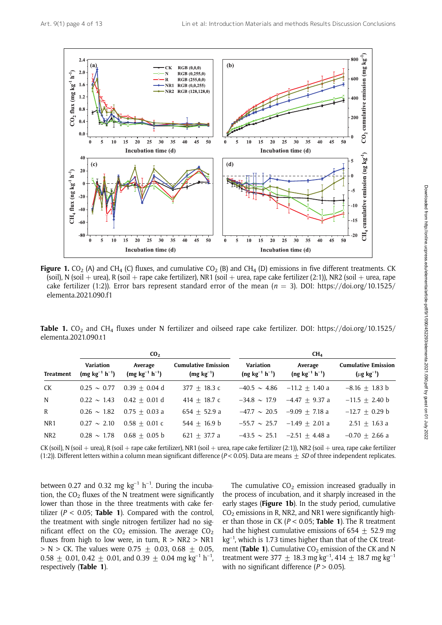

**Figure 1.** CO<sub>2</sub> (A) and CH<sub>4</sub> (C) fluxes, and cumulative CO<sub>2</sub> (B) and CH<sub>4</sub> (D) emissions in five different treatments. CK (soil), N (soil + urea), R (soil + rape cake fertilizer), NR1 (soil + urea, rape cake fertilizer (2:1)), NR2 (soil + urea, rape cake fertilizer (1:2)). Error bars represent standard error of the mean ( $n = 3$ ). DOI: https://doi.org/10.1525/ elementa.2021.090.f1

Table 1.  $CO_2$  and CH<sub>4</sub> fluxes under N fertilizer and oilseed rape cake fertilizer. DOI: https://doi.org/10.1525/ elementa.2021.090.t1

|                  |                                    | CO <sub>2</sub>                  |                                              |                                    | CH <sub>4</sub>                    |                                                   |
|------------------|------------------------------------|----------------------------------|----------------------------------------------|------------------------------------|------------------------------------|---------------------------------------------------|
| <b>Treatment</b> | Variation<br>$(mg kg^{-1} h^{-1})$ | Average<br>$(mg kg^{-1} h^{-1})$ | <b>Cumulative Emission</b><br>$(mg kg^{-1})$ | Variation<br>$(ng kg^{-1} h^{-1})$ | Average<br>$(ng kg^{-1} h^{-1})$   | <b>Cumulative Emission</b><br>$(\mu g \ kg^{-1})$ |
| CK               | $0.25 \sim 0.77$                   | $0.39 + 0.04$ d                  | $377 + 18.3$ c                               |                                    | $-40.5 \sim 4.86$ $-11.2 + 1.40$ a | $-8.16 \pm 1.83$ b                                |
| N                | $0.22 \sim 1.43$                   | $0.42 + 0.01$ d                  | $414 + 18.7$ c                               |                                    | $-34.8 \sim 17.9$ $-4.47 + 9.37$ a | $-11.5 + 2.40$ b                                  |
| R                | $0.26 \sim 1.82$                   | $0.75 + 0.03 a$                  | $654 + 52.9 a$                               |                                    | $-47.7 \sim 20.5$ $-9.09 + 7.18$ a | $-12.7 + 0.29$ b                                  |
| NR1              | $0.27 \sim 2.10$                   | $0.58 + 0.01 c$                  | $544 + 16.9 b$                               |                                    | $-55.7 \sim 25.7 -1.49 + 2.01$ a   | $2.51 + 1.63$ a                                   |
| NR <sub>2</sub>  | $0.28 \sim 1.78$                   | $0.68 + 0.05$ b                  | 621 $\pm$ 37.7 a                             |                                    | $-43.5 \sim 25.1$ $-2.51 + 4.48$ a | $-0.70 + 2.66$ a                                  |

CK (soil), N (soil + urea), R (soil + rape cake fertilizer), NR1 (soil + urea, rape cake fertilizer (2:1)), NR2 (soil + urea, rape cake fertilizer (1:2)). Different letters within a column mean significant difference ( $P < 0.05$ ). Data are means  $\pm SD$  of three independent replicates.

between 0.27 and 0.32 mg  $kg^{-1} h^{-1}$ . During the incubation, the  $CO<sub>2</sub>$  fluxes of the N treatment were significantly lower than those in the three treatments with cake fertilizer ( $P < 0.05$ ; Table 1). Compared with the control, the treatment with single nitrogen fertilizer had no significant effect on the  $CO<sub>2</sub>$  emission. The average  $CO<sub>2</sub>$ fluxes from high to low were, in turn,  $R > NR2 > NR1$  $> N > CK$ . The values were 0.75  $\pm$  0.03, 0.68  $\pm$  0.05,  $0.58 \pm 0.01$ ,  $0.42 \pm 0.01$ , and  $0.39 \pm 0.04$  mg kg<sup>-1</sup> h<sup>-1</sup>, respectively (Table 1).

The cumulative  $CO<sub>2</sub>$  emission increased gradually in the process of incubation, and it sharply increased in the early stages (Figure 1b). In the study period, cumulative  $CO<sub>2</sub>$  emissions in R, NR2, and NR1 were significantly higher than those in CK ( $P < 0.05$ ; Table 1). The R treatment had the highest cumulative emissions of 654  $\pm$  52.9 mg  $kg^{-1}$ , which is 1.73 times higher than that of the CK treatment (Table 1). Cumulative  $CO<sub>2</sub>$  emission of the CK and N treatment were 377  $\pm$  18.3 mg kg<sup>-1</sup>, 414  $\pm$  18.7 mg kg<sup>-1</sup> with no significant difference ( $P > 0.05$ ).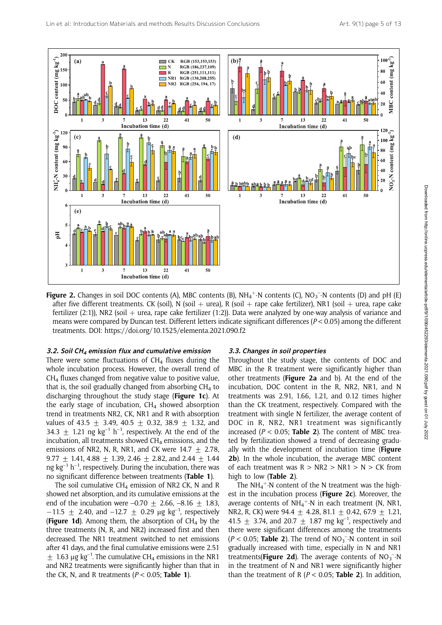

Figure 2. Changes in soil DOC contents (A), MBC contents (B), NH<sub>4</sub><sup>+</sup>-N contents (C), NO<sub>3</sub><sup>-</sup>-N contents (D) and pH (E) after five different treatments. CK (soil), N (soil + urea), R (soil + rape cake fertilizer), NR1 (soil + urea, rape cake fertilizer (2:1)), NR2 (soil  $+$  urea, rape cake fertilizer (1:2)). Data were analyzed by one-way analysis of variance and means were compared by Duncan test. Different letters indicate significant differences (P < 0.05) among the different treatments. DOI: https://doi.org/10.1525/elementa.2021.090.f2

#### 3.2. Soil CH $_4$  emission flux and cumulative emission

There were some fluctuations of  $CH<sub>4</sub>$  fluxes during the whole incubation process. However, the overall trend of  $CH<sub>4</sub>$  fluxes changed from negative value to positive value, that is, the soil gradually changed from absorbing  $CH<sub>4</sub>$  to discharging throughout the study stage (Figure 1c). At the early stage of incubation,  $CH<sub>4</sub>$  showed absorption trend in treatments NR2, CK, NR1 and R with absorption values of 43.5  $\pm$  3.49, 40.5  $\pm$  0.32, 38.9  $\pm$  1.32, and 34.3  $\pm$  1.21 ng kg<sup>-1</sup> h<sup>-1</sup>, respectively. At the end of the incubation, all treatments showed  $CH<sub>4</sub>$  emissions, and the emissions of NR2, N, R, NR1, and CK were  $14.7 + 2.78$ , 9.77  $\pm$  1.41, 4.88  $\pm$  1.39, 2.46  $\pm$  2.82, and 2.44  $\pm$  1.44 ng  $kg^{-1}$  h<sup>-1</sup>, respectively. During the incubation, there was no significant difference between treatments (Table 1).

The soil cumulative CH<sub>4</sub> emission of NR2 CK, N and R showed net absorption, and its cumulative emissions at the end of the incubation were  $-0.70 + 2.66$ ,  $-8.16 + 1.83$ ,  $-11.5 \pm 2.40$ , and  $-12.7 \pm 0.29$  µg kg<sup>-1</sup>, respectively **(Figure 1d).** Among them, the absorption of  $CH<sub>4</sub>$  by the three treatments (N, R, and NR2) increased first and then decreased. The NR1 treatment switched to net emissions after 41 days, and the final cumulative emissions were 2.51  $\pm$  1.63 µg kg<sup>-1</sup>. The cumulative CH<sub>4</sub> emissions in the NR1 and NR2 treatments were significantly higher than that in the CK, N, and R treatments  $(P < 0.05$ ; Table 1).

#### 3.3. Changes in soil properties

Throughout the study stage, the contents of DOC and MBC in the R treatment were significantly higher than other treatments (Figure 2a and b). At the end of the incubation, DOC content in the R, NR2, NR1, and N treatments was 2.91, 1.66, 1.21, and 0.12 times higher than the CK treatment, respectively. Compared with the treatment with single N fertilizer, the average content of DOC in R, NR2, NR1 treatment was significantly increased ( $P < 0.05$ ; Table 2). The content of MBC treated by fertilization showed a trend of decreasing gradually with the development of incubation time (Figure 2b). In the whole incubation, the average MBC content of each treatment was  $R > NR2 > NR1 > N > CK$  from high to low (Table 2).

The NH<sub>4</sub><sup>+</sup>-N content of the N treatment was the highest in the incubation process (Figure 2c). Moreover, the average contents of NH<sub>4</sub><sup>+</sup>-N in each treatment (N, NR1, NR2, R, CK) were 94.4  $\pm$  4.28, 81.1  $\pm$  0.42, 67.9  $\pm$  1.21, 41.5  $\pm$  3.74, and 20.7  $\pm$  1.87 mg kg<sup>-1</sup>, respectively and there were significant differences among the treatments  $(P < 0.05;$  Table 2). The trend of  $NO<sub>3</sub><sup>-</sup>-N$  content in soil gradually increased with time, especially in N and NR1 treatments(Figure 2d). The average contents of  $NO<sub>3</sub><sup>-</sup>-N$ in the treatment of N and NR1 were significantly higher than the treatment of R ( $P < 0.05$ ; Table 2). In addition,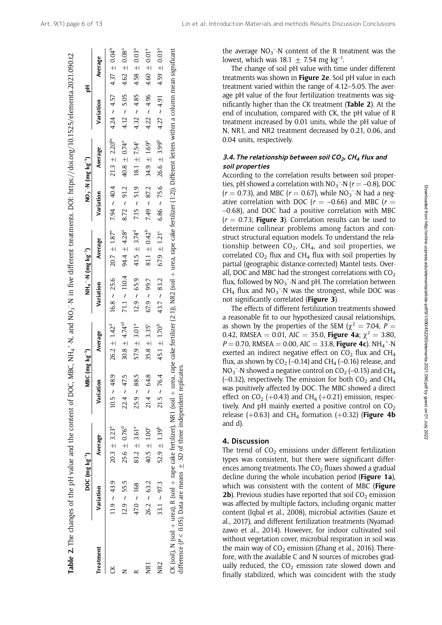Table 2. The changes of the pH value and the content of DOC, MBC, NH4

 $+$ -N, and NO<sub>3</sub>

**Table 2.** The changes of the pH value and the content of DOC, MBC, NH<sub>4</sub>+-N, and NO<sub>3</sub>-N in five different treatments. DOI: https://doi.org/10.1525/elementa.2021.090.t2

–-N in five different treatments. DOI: https://doi.org/10.1525/elementa.2021.090.t2

|                 |                  | DOC $(mg kg^{-1})$                                                                                                                                                                                                                                                                                   | MBC (I           | $mg \ kg^{-1}$               | $NH_4$ +-N (mg kg <sup>-1</sup> ) |                              |                  | $NO_3$ -N (mg kg <sup>-1</sup> )                                                   |                  | 짐                            |
|-----------------|------------------|------------------------------------------------------------------------------------------------------------------------------------------------------------------------------------------------------------------------------------------------------------------------------------------------------|------------------|------------------------------|-----------------------------------|------------------------------|------------------|------------------------------------------------------------------------------------|------------------|------------------------------|
| <b>reatment</b> | Variation        | Average                                                                                                                                                                                                                                                                                              | Variation        | Average                      | Variation                         | Average                      | Variation        | Average                                                                            | Variation        | Average                      |
|                 | $11.9 \sim 43.9$ | $20.3 \pm 3.23^e$                                                                                                                                                                                                                                                                                    | $10.5 \sim 48.9$ | $26.2 \pm 1.42^d$            | $16.8 \sim 25.6$                  | $20.7 \pm 1.87^e$            |                  | 7.94 ~ 40.4 21.3 $\pm$ 2.20 <sup>bc</sup> 4.24 ~ 4.57 4.37 $\pm$ 0.04 <sup>b</sup> |                  |                              |
|                 | $12.9 \sim 55.5$ | $25.6 \pm 0.76^{d}$                                                                                                                                                                                                                                                                                  | $22.4 \sim 47.5$ | $30.8 \pm 4.74^{cd}$         | 71.1 $\sim$ 110.4                 | 94.4 $\pm$ 4.28 <sup>a</sup> | $8.72 \sim 91.2$ | 40.8 $\pm$ 0.74 <sup>a</sup>                                                       | $4.12 \sim 5.05$ | $4.62 \pm 0.08^a$            |
|                 | $47.0 \sim 168$  | $83.2 \pm 3.61^a$                                                                                                                                                                                                                                                                                    | $25.9 \sim 88.5$ | 57.9 $\pm$ 3.01 <sup>a</sup> | $12.9 \sim 65.9$                  | 41.5 $\pm$ 3.74 <sup>d</sup> | $7.15 \sim 51.9$ | $18.1 \pm 7.54^{\circ}$                                                            | $4.32 \sim 4.85$ | $4.58 \pm 0.03$ <sup>a</sup> |
| Ş               | $26.2 \sim 63.2$ | $40.5 \pm 1.00^{\circ}$                                                                                                                                                                                                                                                                              | $21.4 \sim 64.8$ | $35.8 \pm 3.35^c$            | $67.9 \sim 99.7$                  | 81.1 $\pm$ 0.42 <sup>b</sup> | $7.49 \sim 87.2$ | $34.9 \pm 1.69^{a}$                                                                | $4.22 \sim 4.96$ | $4.60 \pm 0.01a$             |
| <b>DES</b>      | 33.1 $\sim$ 97.3 | 52.9 $\pm$ 1.39 <sup>b</sup>                                                                                                                                                                                                                                                                         | $21.5 \sim 76.4$ | 45.1 $\pm$ 1.70 <sup>b</sup> | $43.7 \sim 83.2$                  | $67.9 \pm 1.21^{\circ}$      |                  | $6.86 \sim 75.6$ 26.6 $\pm$ 3.99 <sup>b</sup>                                      | $4.27 \sim 4.91$ | $4.59 \pm 0.03$ <sup>a</sup> |
|                 |                  | CK (soil , N (soil + urea), R (soil + rape cake fertilizer), NR1 (soil + urea, rape cake fertilizer (2:1)), NR2 (soil + urea, rape cake fertilizer (1:2)). Different letters within a column mean significant<br>difference ( $P < 0.05$ ). Data are means $\pm$ SD of three independent replicates. |                  |                              |                                   |                              |                  |                                                                                    |                  |                              |

the average  $NO_3^-$ -N content of the R treatment was the lowest, which was  $18.1 \pm 7.54$  mg kg<sup>-1</sup>.

The change of soil pH value with time under different treatments was shown in Figure 2e. Soil pH value in each treatment varied within the range of 4.12–5.05. The average pH value of the four fertilization treatments was significantly higher than the CK treatment (Table 2). At the end of incubation, compared with CK, the pH value of R treatment increased by 0.01 units, while the pH value of N, NR1, and NR2 treatment decreased by 0.21, 0.06, and 0.04 units, respectively.

## 3.4. The relationship between soil CO<sub>2</sub>, CH<sub>4</sub> flux and soil properties

According to the correlation results between soil properties, pH showed a correlation with  $NO_3^-$ -N ( $r = -0.8$ ), DOC  $(r = 0.73)$ , and MBC  $(r = 0.67)$ , while NO<sub>3</sub><sup>-</sup>-N had a negative correlation with DOC ( $r = -0.66$ ) and MBC ( $r =$ –0.68), and DOC had a positive correlation with MBC  $(r = 0.73;$  Figure 3). Correlation results can be used to determine collinear problems among factors and construct structural equation models. To understand the relationship between  $CO<sub>2</sub>$ , CH<sub>4</sub>, and soil properties, we correlated  $CO<sub>2</sub>$  flux and  $CH<sub>4</sub>$  flux with soil properties by partial (geographic distance-corrected) Mantel tests. Overall, DOC and MBC had the strongest correlations with  $CO<sub>2</sub>$ flux, followed by  $NO_3^-$ -N and pH. The correlation between  $CH_4$  flux and NO<sub>3</sub><sup>-</sup>-N was the strongest, while DOC was not significantly correlated (Figure 3).

The effects of different fertilization treatments showed a reasonable fit to our hypothesized causal relationships, as shown by the properties of the SEM ( $\chi^2$  = 7.04, P = 0.42, RMSEA = 0.01, AIC = 35.0, Figure 4a;  $\chi^2 = 3.80$ ,  $P = 0.70$ , RMSEA = 0.00, AIC = 33.8, Figure 4c). NH<sub>4</sub><sup>+</sup>-N exerted an indirect negative effect on  $CO<sub>2</sub>$  flux and  $CH<sub>4</sub>$ flux, as shown by  $CO<sub>2</sub>$  (–0.14) and CH<sub>4</sub> (–0.16) release, and  $NO<sub>3</sub>$ <sup>-</sup>-N showed a negative control on  $CO<sub>2</sub>$  (-0.15) and CH<sub>4</sub>  $(-0.32)$ , respectively. The emission for both  $CO<sub>2</sub>$  and CH<sub>4</sub> was positively affected by DOC. The MBC showed a direct effect on  $CO<sub>2</sub>$  (+0.43) and CH<sub>4</sub> (+0.21) emission, respectively. And pH mainly exerted a positive control on  $CO<sub>2</sub>$ release (+0.63) and CH<sub>4</sub> formation (+0.32) (Figure 4b and d).

## 4. Discussion

The trend of  $CO<sub>2</sub>$  emissions under different fertilization types was consistent, but there were significant differences among treatments. The  $CO<sub>2</sub>$  fluxes showed a gradual decline during the whole incubation period (Figure 1a), which was consistent with the content of MBC (Figure **2b**). Previous studies have reported that soil  $CO<sub>2</sub>$  emission was affected by multiple factors, including organic matter content (Iqbal et al., 2008), microbial activities (Sauze et al., 2017), and different fertilization treatments (Nyamadzawo et al., 2014). However, for indoor cultivated soil without vegetation cover, microbial respiration in soil was the main way of  $CO<sub>2</sub>$  emission (Zhang et al., 2016). Therefore, with the available C and N sources of microbes gradually reduced, the  $CO<sub>2</sub>$  emission rate slowed down and finally stabilized, which was coincident with the study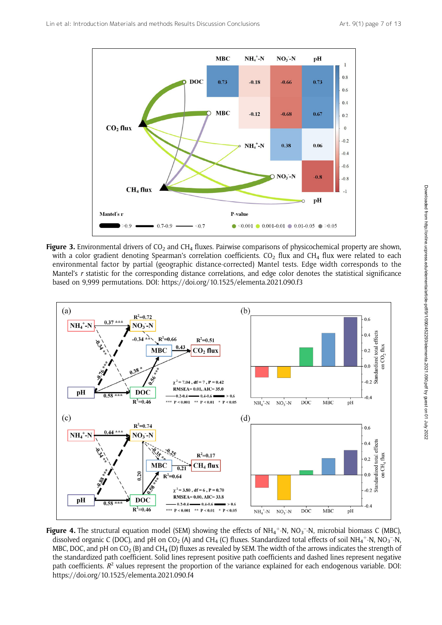

Figure 3. Environmental drivers of  $CO_2$  and CH<sub>4</sub> fluxes. Pairwise comparisons of physicochemical property are shown, with a color gradient denoting Spearman's correlation coefficients.  $CO<sub>2</sub>$  flux and CH<sub>4</sub> flux were related to each environmental factor by partial (geographic distance-corrected) Mantel tests. Edge width corresponds to the Mantel's r statistic for the corresponding distance correlations, and edge color denotes the statistical significance based on 9,999 permutations. DOI: https://doi.org/10.1525/elementa.2021.090.f3



Figure 4. The structural equation model (SEM) showing the effects of NH<sub>4</sub><sup>+</sup>-N, NO<sub>3</sub><sup>-</sup>-N, microbial biomass C (MBC), dissolved organic C (DOC), and pH on CO<sub>2</sub> (A) and CH<sub>4</sub> (C) fluxes. Standardized total effects of soil NH<sub>4</sub>+-N, NO<sub>3</sub>-N, MBC, DOC, and pH on  $CO_2$  (B) and CH<sub>4</sub> (D) fluxes as revealed by SEM. The width of the arrows indicates the strength of the standardized path coefficient. Solid lines represent positive path coefficients and dashed lines represent negative path coefficients.  $R^2$  values represent the proportion of the variance explained for each endogenous variable. DOI: https://doi.org/10.1525/elementa.2021.090.f4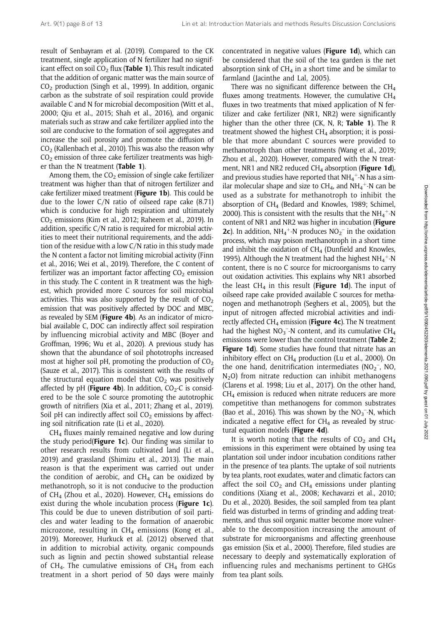result of Senbayram et al. (2019). Compared to the CK treatment, single application of N fertilizer had no significant effect on soil  $CO<sub>2</sub>$  flux (Table 1). This result indicated that the addition of organic matter was the main source of  $CO<sub>2</sub>$  production (Singh et al., 1999). In addition, organic carbon as the substrate of soil respiration could provide available C and N for microbial decomposition (Witt et al., 2000; Qiu et al., 2015; Shah et al., 2016), and organic materials such as straw and cake fertilizer applied into the soil are conducive to the formation of soil aggregates and increase the soil porosity and promote the diffusion of  $CO<sub>2</sub>$  (Kallenbach et al., 2010). This was also the reason why  $CO<sub>2</sub>$  emission of three cake fertilizer treatments was higher than the N treatment (Table 1).

Among them, the  $CO<sub>2</sub>$  emission of single cake fertilizer treatment was higher than that of nitrogen fertilizer and cake fertilizer mixed treatment (Figure 1b). This could be due to the lower C/N ratio of oilseed rape cake (8.71) which is conducive for high respiration and ultimately  $CO<sub>2</sub>$  emissions (Kim et al., 2012; Raheem et al., 2019). In addition, specific C/N ratio is required for microbial activities to meet their nutritional requirements, and the addition of the residue with a low C/N ratio in this study made the N content a factor not limiting microbial activity (Finn et al., 2016; Wei et al., 2019). Therefore, the C content of fertilizer was an important factor affecting  $CO<sub>2</sub>$  emission in this study. The C content in R treatment was the highest, which provided more C sources for soil microbial activities. This was also supported by the result of  $CO<sub>2</sub>$ emission that was positively affected by DOC and MBC, as revealed by SEM (Figure 4b). As an indicator of microbial available C, DOC can indirectly affect soil respiration by influencing microbial activity and MBC (Boyer and Groffman, 1996; Wu et al., 2020). A previous study has shown that the abundance of soil phototrophs increased most at higher soil pH, promoting the production of  $CO<sub>2</sub>$ (Sauze et al., 2017). This is consistent with the results of the structural equation model that  $CO<sub>2</sub>$  was positively affected by pH (**Figure 4b**). In addition,  $CO<sub>2</sub>-C$  is considered to be the sole C source promoting the autotrophic growth of nitrifiers (Xia et al., 2011; Zhang et al., 2019). Soil pH can indirectly affect soil  $CO<sub>2</sub>$  emissions by affecting soil nitrification rate (Li et al., 2020).

 $CH<sub>4</sub>$  fluxes mainly remained negative and low during the study period( $Figure 1c$ ). Our finding was similar to other research results from cultivated land (Li et al., 2019) and grassland (Shimizu et al., 2013). The main reason is that the experiment was carried out under the condition of aerobic, and  $CH<sub>4</sub>$  can be oxidized by methanotroph, so it is not conducive to the production of CH<sub>4</sub> (Zhou et al., 2020). However, CH<sub>4</sub> emissions do exist during the whole incubation process (Figure 1c). This could be due to uneven distribution of soil particles and water leading to the formation of anaerobic microzone, resulting in  $CH_4$  emissions (Kong et al., 2019). Moreover, Hurkuck et al. (2012) observed that in addition to microbial activity, organic compounds such as lignin and pectin showed substantial release of CH<sub>4</sub>. The cumulative emissions of CH<sub>4</sub> from each treatment in a short period of 50 days were mainly

concentrated in negative values (Figure 1d), which can be considered that the soil of the tea garden is the net absorption sink of  $CH_4$  in a short time and be similar to farmland (Jacinthe and Lal, 2005).

There was no significant difference between the  $CH<sub>4</sub>$ fluxes among treatments. However, the cumulative  $CH<sub>4</sub>$ fluxes in two treatments that mixed application of N fertilizer and cake fertilizer (NR1, NR2) were significantly higher than the other three (CK, N, R; Table 1). The R treatment showed the highest  $CH<sub>4</sub>$  absorption; it is possible that more abundant C sources were provided to methanotroph than other treatments (Wang et al., 2019; Zhou et al., 2020). However, compared with the N treatment, NR1 and NR2 reduced  $CH<sub>4</sub>$  absorption (Figure 1d), and previous studies have reported that  $NH_4^+$ -N has a similar molecular shape and size to  $CH_4$ , and  $NH_4^+$ -N can be used as a substrate for methanotroph to inhibit the absorption of  $CH<sub>4</sub>$  (Bedard and Knowles, 1989; Schimel, 2000). This is consistent with the results that the  $NH_4^+$ -N content of NR1 and NR2 was higher in incubation (Figure **2c**). In addition,  $NH_4^+$ -N produces  $NO_2^-$  in the oxidation process, which may poison methanotroph in a short time and inhibit the oxidation of  $CH<sub>4</sub>$  (Dunfield and Knowles, 1995). Although the N treatment had the highest  $NH_4^+$ -N content, there is no C source for microorganisms to carry out oxidation activities. This explains why NR1 absorbed the least  $CH_4$  in this result (Figure 1d). The input of oilseed rape cake provided available C sources for methanogen and methanotroph (Seghers et al., 2005), but the input of nitrogen affected microbial activities and indirectly affected  $CH<sub>4</sub>$  emission (Figure 4c). The N treatment had the highest  $NO_3^-$ -N content, and its cumulative CH<sub>4</sub> emissions were lower than the control treatment (Table 2; Figure 1d). Some studies have found that nitrate has an inhibitory effect on  $CH_4$  production (Lu et al., 2000). On the one hand, denitrification intermediates  $(NO<sub>2</sub><sup>-</sup>, NO<sub>2</sub>)$  $N<sub>2</sub>O$ ) from nitrate reduction can inhibit methanogens (Clarens et al. 1998; Liu et al., 2017). On the other hand,  $CH<sub>4</sub>$  emission is reduced when nitrate reducers are more competitive than methanogens for common substrates (Bao et al., 2016). This was shown by the  $NO<sub>3</sub><sup>-</sup>-N$ , which indicated a negative effect for  $CH<sub>4</sub>$  as revealed by structural equation models (Figure 4d).

It is worth noting that the results of  $CO<sub>2</sub>$  and  $CH<sub>4</sub>$ emissions in this experiment were obtained by using tea plantation soil under indoor incubation conditions rather in the presence of tea plants. The uptake of soil nutrients by tea plants, root exudates, water and climatic factors can affect the soil  $CO<sub>2</sub>$  and CH<sub>4</sub> emissions under planting conditions (Xiang et al., 2008; Kechavarzi et al., 2010; Du et al., 2020). Besides, the soil sampled from tea plant field was disturbed in terms of grinding and adding treatments, and thus soil organic matter become more vulnerable to the decomposition increasing the amount of substrate for microorganisms and affecting greenhouse gas emission (Six et al., 2000). Therefore, filed studies are necessary to deeply and systematically exploration of influencing rules and mechanisms pertinent to GHGs from tea plant soils.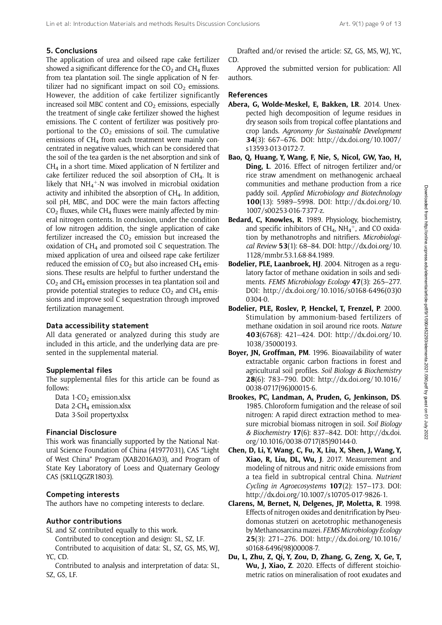## 5. Conclusions

The application of urea and oilseed rape cake fertilizer showed a significant difference for the  $CO<sub>2</sub>$  and  $CH<sub>4</sub>$  fluxes from tea plantation soil. The single application of N fertilizer had no significant impact on soil  $CO<sub>2</sub>$  emissions. However, the addition of cake fertilizer significantly increased soil MBC content and  $CO<sub>2</sub>$  emissions, especially the treatment of single cake fertilizer showed the highest emissions. The C content of fertilizer was positively proportional to the  $CO<sub>2</sub>$  emissions of soil. The cumulative emissions of  $CH_4$  from each treatment were mainly concentrated in negative values, which can be considered that the soil of the tea garden is the net absorption and sink of  $CH<sub>4</sub>$  in a short time. Mixed application of N fertilizer and cake fertilizer reduced the soil absorption of  $CH<sub>4</sub>$ . It is likely that  $NH_4^+$ -N was involved in microbial oxidation activity and inhibited the absorption of  $CH<sub>4</sub>$ . In addition, soil pH, MBC, and DOC were the main factors affecting  $CO<sub>2</sub>$  fluxes, while CH<sub>4</sub> fluxes were mainly affected by mineral nitrogen contents. In conclusion, under the condition of low nitrogen addition, the single application of cake fertilizer increased the  $CO<sub>2</sub>$  emission but increased the oxidation of  $CH<sub>4</sub>$  and promoted soil C sequestration. The mixed application of urea and oilseed rape cake fertilizer reduced the emission of  $CO<sub>2</sub>$  but also increased CH<sub>4</sub> emissions. These results are helpful to further understand the  $CO<sub>2</sub>$  and CH<sub>4</sub> emission processes in tea plantation soil and provide potential strategies to reduce  $CO<sub>2</sub>$  and  $CH<sub>4</sub>$  emissions and improve soil C sequestration through improved fertilization management.

## Data accessibility statement

All data generated or analyzed during this study are included in this article, and the underlying data are presented in the supplemental material.

## Supplemental files

The supplemental files for this article can be found as follows:

Data  $1-CO<sub>2</sub>$  <emission.xlsx> Data 2-CH<sub>4</sub> <emission.xlsx> Data 3-Soil<property.xlsx>

## Financial Disclosure

This work was financially supported by the National Natural Science Foundation of China (41977031), CAS "Light of West China" Program (XAB2016A03), and Program of State Key Laboratory of Loess and Quaternary Geology CAS (SKLLQGZR1803).

## Competing interests

The authors have no competing interests to declare.

## Author contributions

SL and SZ contributed equally to this work.

Contributed to conception and design: SL, SZ, LF. Contributed to acquisition of data: SL, SZ, GS, MS, WJ, YC, CD.

Contributed to analysis and interpretation of data: SL, SZ, GS, LF.

Drafted and/or revised the article: SZ, GS, MS, WJ, YC, CD.

Approved the submitted version for publication: All authors.

## References

- Abera, G, Wolde-Meskel, E, Bakken, LR. 2014. Unexpected high decomposition of legume residues in dry season soils from tropical coffee plantations and crop lands. Agronomy for Sustainable Development 34(3): 667–676. DOI: [http://dx.doi.org/10.1007/](http://dx.doi.org/10.1007/s13593-013-0172-7) [s13593-013-0172-7.](http://dx.doi.org/10.1007/s13593-013-0172-7)
- Bao, Q, Huang, Y, Wang, F, Nie, S, Nicol, GW, Yao, H, Ding, L. 2016. Effect of nitrogen fertilizer and/or rice straw amendment on methanogenic archaeal communities and methane production from a rice paddy soil. Applied Microbiology and Biotechnology 100(13): 5989–5998. DOI: [http://dx.doi.org/10.](http://dx.doi.org/10.1007/s00253-016-7377-z) [1007/s00253-016-7377-z.](http://dx.doi.org/10.1007/s00253-016-7377-z)
- Bedard, C, Knowles, R. 1989. Physiology, biochemistry, and specific inhibitors of  $CH_4$ , NH<sub>4</sub><sup>+</sup>, and CO oxidation by methanotrophs and nitrifiers. Microbiological Review 53(1): 68–84. DOI: [http://dx.doi.org/10.](http://dx.doi.org/10.1128/mmbr.53.1.68-84.1989) [1128/mmbr.53.1.68-84.1989](http://dx.doi.org/10.1128/mmbr.53.1.68-84.1989).
- Bodelier, PLE, Laanbroek, HJ. 2004. Nitrogen as a regulatory factor of methane oxidation in soils and sediments. FEMS Microbiology Ecology 47(3): 265-277. DOI: [http://dx.doi.org/10.1016/s0168-6496\(03\)0](http://dx.doi.org/10.1016/s0168-6496(03)00304-0) [0304-0](http://dx.doi.org/10.1016/s0168-6496(03)00304-0).
- Bodelier, PLE, Roslev, P, Henckel, T, Frenzel, P. 2000. Stimulation by ammonium-based fertilizers of methane oxidation in soil around rice roots. Nature 403(6768): 421–424. DOI: [http://dx.doi.org/10.](http://dx.doi.org/10.1038/35000193) [1038/35000193](http://dx.doi.org/10.1038/35000193).
- Boyer, JN, Groffman, PM. 1996. Bioavailability of water extractable organic carbon fractions in forest and agricultural soil profiles. Soil Biology & Biochemistry 28(6): 783–790. DOI: [http://dx.doi.org/10.1016/](http://dx.doi.org/10.1016/0038-0717(96)00015-6) [0038-0717\(96\)00015-6.](http://dx.doi.org/10.1016/0038-0717(96)00015-6)
- Brookes, PC, Landman, A, Pruden, G, Jenkinson, DS. 1985. Chloroform fumigation and the release of soil nitrogen: A rapid direct extraction method to measure microbial biomass nitrogen in soil. Soil Biology & Biochemistry 17(6): 837–842. DOI: [http://dx.doi.](http://dx.doi.org/10.1016/0038-0717(85)90144-0) [org/10.1016/0038-0717\(85\)90144-0](http://dx.doi.org/10.1016/0038-0717(85)90144-0).
- Chen, D, Li, Y, Wang, C, Fu, X, Liu, X, Shen, J, Wang, Y, Xiao, R, Liu, DL, Wu, J. 2017. Measurement and modeling of nitrous and nitric oxide emissions from a tea field in subtropical central China. Nutrient Cycling in Agroecosystems 107(2): 157–173. DOI: <http://dx.doi.org/10.1007/s10705-017-9826-1>.
- Clarens, M, Bernet, N, Delgenes, JP, Moletta, R. 1998. Effects of nitrogen oxides and denitrification by Pseudomonas stutzeri on acetotrophic methanogenesis by Methanosarcina mazei. FEMS Microbiology Ecology 25(3): 271–276. DOI: [http://dx.doi.org/10.1016/](http://dx.doi.org/10.1016/s0168-6496(98)00008-7) [s0168-6496\(98\)00008-7.](http://dx.doi.org/10.1016/s0168-6496(98)00008-7)
- Du, L, Zhu, Z, Qi, Y, Zou, D, Zhang, G, Zeng, X, Ge, T, Wu, J, Xiao, Z. 2020. Effects of different stoichiometric ratios on mineralisation of root exudates and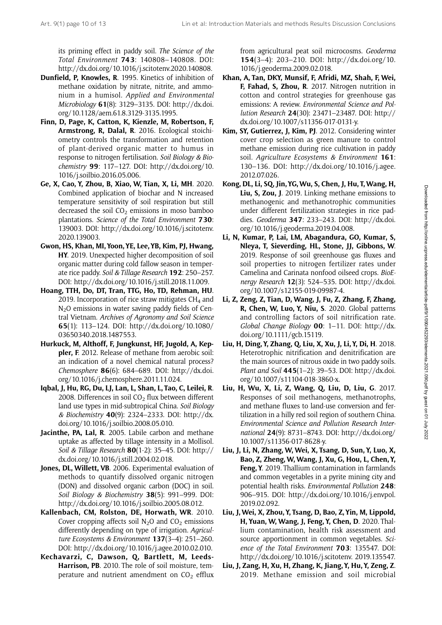its priming effect in paddy soil. The Science of the Total Environment 743: 140808–140808. DOI: <http://dx.doi.org/10.1016/j.scitotenv.2020.140808>.

- Dunfield, P, Knowles, R. 1995. Kinetics of inhibition of methane oxidation by nitrate, nitrite, and ammonium in a humisol. Applied and Environmental Microbiology 61(8): 3129–3135. DOI: [http://dx.doi.](http://dx.doi.org/10.1128/aem.61.8.3129-3135.1995) [org/10.1128/aem.61.8.3129-3135.1995](http://dx.doi.org/10.1128/aem.61.8.3129-3135.1995).
- Finn, D, Page, K, Catton, K, Kienzle, M, Robertson, F, Armstrong, R, Dalal, R. 2016. Ecological stoichiometry controls the transformation and retention of plant-derived organic matter to humus in response to nitrogen fertilisation. Soil Biology & Biochemistry 99: 117–127. DOI: [http://dx.doi.org/10.](http://dx.doi.org/10.1016/j.soilbio.2016.05.006) [1016/j.soilbio.2016.05.006](http://dx.doi.org/10.1016/j.soilbio.2016.05.006).
- Ge, X, Cao, Y, Zhou, B, Xiao, W, Tian, X, Li, MH. 2020. Combined application of biochar and N increased temperature sensitivity of soil respiration but still decreased the soil  $CO<sub>2</sub>$  emissions in moso bamboo plantations. Science of the Total Environment 730: 139003. DOI: [http://dx.doi.org/10.1016/j.scitotenv.](http://dx.doi.org/10.1016/j.scitotenv.2020.139003) [2020.139003.](http://dx.doi.org/10.1016/j.scitotenv.2020.139003)
- Gwon, HS, Khan, MI, Yoon, YE, Lee, YB, Kim, PJ, Hwang, HY. 2019. Unexpected higher decomposition of soil organic matter during cold fallow season in temperate rice paddy. Soil & Tillage Research 192: 250–257. DOI: [http://dx.doi.org/10.1016/j.still.2018.11.009.](http://dx.doi.org/10.1016/j.still.2018.11.009)
- Hoang, TTH, Do, DT, Tran, TTG, Ho, TD, Rehman, HU. 2019. Incorporation of rice straw mitigates  $CH<sub>4</sub>$  and  $N<sub>2</sub>O$  emissions in water saving paddy fields of Central Vietnam. Archives of Agronomy and Soil Science 65(1): 113–124. DOI: [http://dx.doi.org/10.1080/](http://dx.doi.org/10.1080/03650340.2018.1487553) [03650340.2018.1487553.](http://dx.doi.org/10.1080/03650340.2018.1487553)
- Hurkuck, M, Althoff, F, Jungkunst, HF, Jugold, A, Keppler, F. 2012. Release of methane from aerobic soil: an indication of a novel chemical natural process? Chemosphere 86(6): 684–689. DOI: [http://dx.doi.](http://dx.doi.org/10.1016/j.chemosphere.2011.11.024) [org/10.1016/j.chemosphere.2011.11.024.](http://dx.doi.org/10.1016/j.chemosphere.2011.11.024)
- Iqbal, J, Hu, RG, Du, LJ, Lan, L, Shan, L, Tao, C, Leilei, R. 2008. Differences in soil  $CO<sub>2</sub>$  flux between different land use types in mid-subtropical China. Soil Biology & Biochemistry 40(9): 2324–2333. DOI: [http://dx.](http://dx.doi.org/10.1016/j.soilbio.2008.05.010) [doi.org/10.1016/j.soilbio.2008.05.010](http://dx.doi.org/10.1016/j.soilbio.2008.05.010).
- Jacinthe, PA, Lal, R. 2005. Labile carbon and methane uptake as affected by tillage intensity in a Mollisol. Soil & Tillage Research 80(1-2): 35–45. DOI: [http://](http://dx.doi.org/10.1016/j.still.2004.02.018) [dx.doi.org/10.1016/j.still.2004.02.018.](http://dx.doi.org/10.1016/j.still.2004.02.018)
- Jones, DL, Willett, VB. 2006. Experimental evaluation of methods to quantify dissolved organic nitrogen (DON) and dissolved organic carbon (DOC) in soil. Soil Biology & Biochemistry 38(5): 991-999. DOI: <http://dx.doi.org/10.1016/j.soilbio.2005.08.012>.
- Kallenbach, CM, Rolston, DE, Horwath, WR. 2010. Cover cropping affects soil  $N_2O$  and  $CO_2$  emissions differently depending on type of irrigation. Agriculture Ecosystems & Environment 137(3-4): 251-260. DOI:<http://dx.doi.org/10.1016/j.agee.2010.02.010>.
- Kechavarzi, C, Dawson, Q, Bartlett, M, Leeds-Harrison, PB. 2010. The role of soil moisture, temperature and nutrient amendment on  $CO<sub>2</sub>$  efflux

from agricultural peat soil microcosms. Geoderma 154(3–4): 203–210. DOI: [http://dx.doi.org/10.](http://dx.doi.org/10.1016/j.geoderma.2009.02.018) [1016/j.geoderma.2009.02.018.](http://dx.doi.org/10.1016/j.geoderma.2009.02.018)

- Khan, A, Tan, DKY, Munsif, F, Afridi, MZ, Shah, F, Wei, F, Fahad, S, Zhou, R. 2017. Nitrogen nutrition in cotton and control strategies for greenhouse gas emissions: A review. Environmental Science and Pollution Research 24(30): 23471–23487. DOI: [http://](http://dx.doi.org/10.1007/s11356-017-0131-y) [dx.doi.org/10.1007/s11356-017-0131-y.](http://dx.doi.org/10.1007/s11356-017-0131-y)
- Kim, SY, Gutierrez, J, Kim, PJ. 2012. Considering winter cover crop selection as green manure to control methane emission during rice cultivation in paddy soil. Agriculture Ecosystems & Environment 161: 130–136. DOI: [http://dx.doi.org/10.1016/j.agee.](http://dx.doi.org/10.1016/j.agee.2012.07.026) [2012.07.026.](http://dx.doi.org/10.1016/j.agee.2012.07.026)
- Kong, DL, Li, SQ, Jin, YG,Wu, S, Chen, J, Hu, T,Wang, H, Liu, S, Zou, J. 2019. Linking methane emissions to methanogenic and methanotrophic communities under different fertilization strategies in rice paddies. Geoderma 347: 233–243. DOI: [http://dx.doi.](http://dx.doi.org/10.1016/j.geoderma.2019.04.008) [org/10.1016/j.geoderma.2019.04.008.](http://dx.doi.org/10.1016/j.geoderma.2019.04.008)
- Li, N, Kumar, P, Lai, LM, Abagandura, GO, Kumar, S, Nleya, T, Sieverding, HL, Stone, JJ, Gibbons, W. 2019. Response of soil greenhouse gas fluxes and soil properties to nitrogen fertilizer rates under Camelina and Carinata nonfood oilseed crops. BioEnergy Research 12(3): 524–535. DOI: [http://dx.doi.](http://dx.doi.org/10.1007/s12155-019-09987-4) [org/10.1007/s12155-019-09987-4](http://dx.doi.org/10.1007/s12155-019-09987-4).
- Li, Z, Zeng, Z, Tian, D, Wang, J, Fu, Z, Zhang, F, Zhang, R, Chen, W, Luo, Y, Niu, S. 2020. Global patterns and controlling factors of soil nitrification rate. Global Change Biology 00: 1–11. DOI: [http://dx.](http://dx.doi.org/10.1111/gcb.15119) [doi.org/10.1111/gcb.15119](http://dx.doi.org/10.1111/gcb.15119).
- Liu, H, Ding, Y, Zhang, Q, Liu, X, Xu, J, Li, Y, Di, H. 2018. Heterotrophic nitrification and denitrification are the main sources of nitrous oxide in two paddy soils. Plant and Soil 445(1–2): 39–53. DOI: [http://dx.doi.](http://dx.doi.org/10.1007/s11104-018-3860-x) [org/10.1007/s11104-018-3860-x.](http://dx.doi.org/10.1007/s11104-018-3860-x)
- Liu, H, Wu, X, Li, Z, Wang, Q, Liu, D, Liu, G. 2017. Responses of soil methanogens, methanotrophs, and methane fluxes to land-use conversion and fertilization in a hilly red soil region of southern China. Environmental Science and Pollution Research International 24(9): 8731–8743. DOI: [http://dx.doi.org/](http://dx.doi.org/10.1007/s11356-017-8628-y) [10.1007/s11356-017-8628-y.](http://dx.doi.org/10.1007/s11356-017-8628-y)
- Liu, J, Li, N, Zhang, W, Wei, X, Tsang, D, Sun, Y, Luo, X, Bao, Z, Zheng, W, Wang, J, Xu, G, Hou, L, Chen, Y, Feng, Y. 2019. Thallium contamination in farmlands and common vegetables in a pyrite mining city and potential health risks. Environmental Pollution 248: 906–915. DOI: [http://dx.doi.org/10.1016/j.envpol.](http://dx.doi.org/10.1016/j.envpol.2019.02.092) [2019.02.092.](http://dx.doi.org/10.1016/j.envpol.2019.02.092)
- Liu, J,Wei, X, Zhou, Y, Tsang, D, Bao, Z, Yin, M, Lippold, H, Yuan, W, Wang, J, Feng, Y, Chen, D. 2020. Thallium contamination, health risk assessment and source apportionment in common vegetables. Science of the Total Environment 703: 135547. DOI: [http://dx.doi.org/10.1016/j.scitotenv. 2019.135547.](http://dx.doi.org/10.1016/j.scitotenv. 2019.135547)
- Liu, J, Zang, H, Xu, H, Zhang, K, Jiang, Y, Hu, Y, Zeng, Z. 2019. Methane emission and soil microbial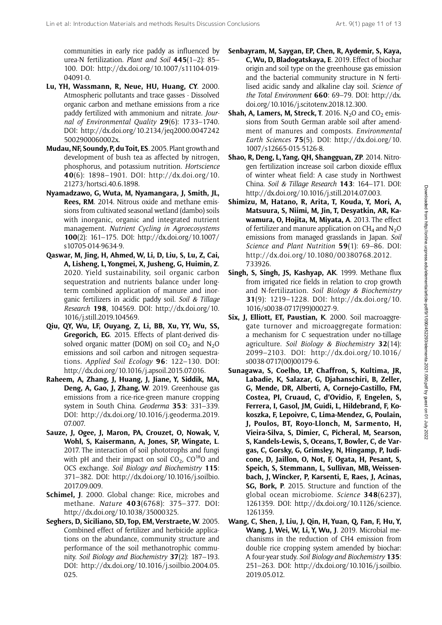communities in early rice paddy as influenced by urea-N fertilization. Plant and Soil 445(1–2): 85– 100. DOI: [http://dx.doi.org/10.1007/s11104-019-](http://dx.doi.org/10.1007/s11104-019-04091-0) [04091-0](http://dx.doi.org/10.1007/s11104-019-04091-0).

- Lu, YH, Wassmann, R, Neue, HU, Huang, CY. 2000. Atmospheric pollutants and trace gasses - Dissolved organic carbon and methane emissions from a rice paddy fertilized with ammonium and nitrate. Journal of Environmental Quality 29(6): 1733–1740. DOI: [http://dx.doi.org/10.2134/jeq2000.0047242](http://dx.doi.org/10.2134/jeq2000.00472425002900060002x) [5002900060002x.](http://dx.doi.org/10.2134/jeq2000.00472425002900060002x)
- Mudau, NF, Soundy, P, du Toit, ES. 2005. Plant growth and development of bush tea as affected by nitrogen, phosphorus, and potassium nutrition. Hortscience 40(6): 1898–1901. DOI: [http://dx.doi.org/10.](http://dx.doi.org/10.21273/hortsci.40.6.1898) [21273/hortsci.40.6.1898](http://dx.doi.org/10.21273/hortsci.40.6.1898).
- Nyamadzawo, G, Wuta, M, Nyamangara, J, Smith, JL, Rees, RM. 2014. Nitrous oxide and methane emissions from cultivated seasonal wetland (dambo) soils with inorganic, organic and integrated nutrient management. Nutrient Cycling in Agroecosystems 100(2): 161–175. DOI: [http://dx.doi.org/10.1007/](http://dx.doi.org/10.1007/s10705-014-9634-9) [s10705-014-9634-9](http://dx.doi.org/10.1007/s10705-014-9634-9).
- Qaswar, M, Jing, H, Ahmed, W, Li, D, Liu, S, Lu, Z, Cai, A, Lisheng, L, Yongmei, X, Jusheng, G, Huimin, Z. 2020. Yield sustainability, soil organic carbon sequestration and nutrients balance under longterm combined application of manure and inorganic fertilizers in acidic paddy soil. Soil & Tillage Research 198, 104569. DOI: [http://dx.doi.org/10.](http://dx.doi.org/10.1016/j.still.2019.104569) [1016/j.still.2019.104569](http://dx.doi.org/10.1016/j.still.2019.104569).
- Qiu, QY, Wu, LF, Ouyang, Z, Li, BB, Xu, YY, Wu, SS, Gregorich, EG. 2015. Effects of plant-derived dissolved organic matter (DOM) on soil  $CO<sub>2</sub>$  and N<sub>2</sub>O emissions and soil carbon and nitrogen sequestrations. Applied Soil Ecology 96: 122–130. DOI: <http://dx.doi.org/10.1016/j.apsoil.2015.07.016>.
- Raheem, A, Zhang, J, Huang, J, Jiane, Y, Siddik, MA, Deng, A, Gao, J, Zhang, W. 2019. Greenhouse gas emissions from a rice-rice-green manure cropping system in South China. Geoderma 353: 331–339. DOI: [http://dx.doi.org/10.1016/j.geoderma.2019.](http://dx.doi.org/10.1016/j.geoderma.2019.07.007) [07.007.](http://dx.doi.org/10.1016/j.geoderma.2019.07.007)
- Sauze, J, Ogee, J, Maron, PA, Crouzet, O, Nowak, V, Wohl, S, Kaisermann, A, Jones, SP, Wingate, L. 2017. The interaction of soil phototrophs and fungi with pH and their impact on soil  $CO<sub>2</sub>$ ,  $CO<sup>18</sup>O$  and OCS exchange. Soil Biology and Biochemistry 115: 371–382. DOI: [http://dx.doi.org/10.1016/j.soilbio.](http://dx.doi.org/10.1016/j.soilbio.2017.09.009) [2017.09.009](http://dx.doi.org/10.1016/j.soilbio.2017.09.009).
- Schimel, J. 2000. Global change: Rice, microbes and methane. Nature 403(6768): 375–377. DOI: [http://dx.doi.org/10.1038/35000325.](http://dx.doi.org/10.1038/35000325)
- Seghers, D, Siciliano, SD, Top, EM, Verstraete, W. 2005. Combined effect of fertilizer and herbicide applications on the abundance, community structure and performance of the soil methanotrophic community. Soil Biology and Biochemistry 37(2): 187–193. DOI: [http://dx.doi.org/10.1016/j.soilbio.2004.05.](http://dx.doi.org/10.1016/j.soilbio.2004.05.025) [025](http://dx.doi.org/10.1016/j.soilbio.2004.05.025).
- Senbayram, M, Saygan, EP, Chen, R, Aydemir, S, Kaya, C,Wu, D, Bladogatskaya, E. 2019. Effect of biochar origin and soil type on the greenhouse gas emission and the bacterial community structure in N fertilised acidic sandy and alkaline clay soil. Science of the Total Environment 660: 69-79. DOI: [http://dx.](http://dx.doi.org/10.1016/j.scitotenv.2018.12.300) [doi.org/10.1016/j.scitotenv.2018.12.300.](http://dx.doi.org/10.1016/j.scitotenv.2018.12.300)
- **Shah, A, Lamers, M, Streck, T.** 2016. N<sub>2</sub>O and  $CO_2$  emissions from South German arable soil after amendment of manures and composts. Environmental Earth Sciences 75(5). DOI: [http://dx.doi.org/10.](http://dx.doi.org/10.1007/s12665-015-5126-8) [1007/s12665-015-5126-8.](http://dx.doi.org/10.1007/s12665-015-5126-8)
- Shao, R, Deng, L, Yang, QH, Shangguan, ZP. 2014. Nitrogen fertilization increase soil carbon dioxide efflux of winter wheat field: A case study in Northwest China. Soil & Tillage Research 143: 164–171. DOI: [http://dx.doi.org/10.1016/j.still.2014.07.003.](http://dx.doi.org/10.1016/j.still.2014.07.003)
- Shimizu, M, Hatano, R, Arita, T, Kouda, Y, Mori, A, Matsuura, S, Niimi, M, Jin, T, Desyatkin, AR, Kawamura, O, Hojita, M, Miyata, A. 2013. The effect of fertilizer and manure application on  $CH_4$  and  $N_2O$ emissions from managed grasslands in Japan. Soil Science and Plant Nutrition 59(1): 69-86. DOI: [http://dx.doi.org/10.1080/00380768.2012.](http://dx.doi.org/10.1080/00380768.2012.733926) [733926](http://dx.doi.org/10.1080/00380768.2012.733926).
- Singh, S, Singh, JS, Kashyap, AK. 1999. Methane flux from irrigated rice fields in relation to crop growth and N-fertilization. Soil Biology & Biochemistry 31(9): 1219–1228. DOI: [http://dx.doi.org/10.](http://dx.doi.org/10.1016/s0038-0717(99)00027-9) [1016/s0038-0717\(99\)00027-9.](http://dx.doi.org/10.1016/s0038-0717(99)00027-9)
- Six, J, Elliott, ET, Paustian, K. 2000. Soil macroaggregate turnover and microaggregate formation: a mechanism for C sequestration under no-tillage agriculture. Soil Biology & Biochemistry 32(14): 2099–2103. DOI: [http://dx.doi.org/10.1016/](http://dx.doi.org/10.1016/s0038-0717(00)00179-6) [s0038-0717\(00\)00179-6.](http://dx.doi.org/10.1016/s0038-0717(00)00179-6)
- Sunagawa, S, Coelho, LP, Chaffron, S, Kultima, JR, Labadie, K, Salazar, G, Djahanschiri, B, Zeller, G, Mende, DR, Alberti, A, Cornejo-Castillo, FM, Costea, PI, Cruaud, C, d'Ovidio, F, Engelen, S, Ferrera, I, Gasol, JM, Guidi, L, Hildebrand, F, Kokoszka, F, Lepoivre, C, Lima-Mendez, G, Poulain, J, Poulos, BT, Royo-Llonch, M, Sarmento, H, Vieira-Silva, S, Dimier, C, Picheral, M, Searson, S, Kandels-Lewis, S, Oceans, T, Bowler, C, de Vargas, C, Gorsky, G, Grimsley, N, Hingamp, P, Iudicone, D, Jaillon, O, Not, F, Ogata, H, Pesant, S, Speich, S, Stemmann, L, Sullivan, MB, Weissenbach, J, Wincker, P, Karsenti, E, Raes, J, Acinas, SG, Bork, P. 2015. Structure and function of the global ocean microbiome. Science 348(6237), 1261359. DOI: [http://dx.doi.org/10.1126/science.](http://dx.doi.org/10.1126/science.1261359) [1261359](http://dx.doi.org/10.1126/science.1261359).
- Wang, C, Shen, J, Liu, J, Qin, H, Yuan, Q, Fan, F, Hu, Y, Wang, J, Wei, W, Li, Y, Wu, J. 2019. Microbial mechanisms in the reduction of CH4 emission from double rice cropping system amended by biochar: A four-year study. Soil Biology and Biochemistry 135: 251–263. DOI: [http://dx.doi.org/10.1016/j.soilbio.](http://dx.doi.org/10.1016/j.soilbio.2019.05.012) [2019.05.012](http://dx.doi.org/10.1016/j.soilbio.2019.05.012).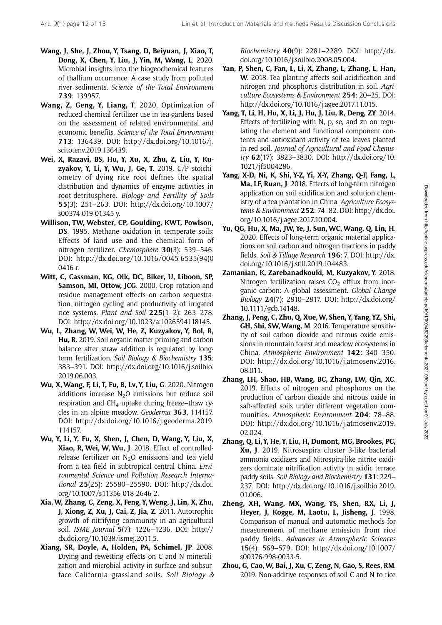- Wang, J, She, J, Zhou, Y, Tsang, D, Beiyuan, J, Xiao, T, Dong, X, Chen, Y, Liu, J, Yin, M, Wang, L. 2020. Microbial insights into the biogeochemical features of thallium occurrence: A case study from polluted river sediments. Science of the Total Environment 739: 139957.
- Wang, Z, Geng, Y, Liang, T. 2020. Optimization of reduced chemical fertilizer use in tea gardens based on the assessment of related environmental and economic benefits. Science of the Total Environment 713: 136439. DOI: [http://dx.doi.org/10.1016/j.](http://dx.doi.org/10.1016/j.scitotenv.2019.136439) [scitotenv.2019.136439](http://dx.doi.org/10.1016/j.scitotenv.2019.136439).
- Wei, X, Razavi, BS, Hu, Y, Xu, X, Zhu, Z, Liu, Y, Kuzyakov, Y, Li, Y, Wu, J, Ge, T. 2019. C/P stoichiometry of dying rice root defines the spatial distribution and dynamics of enzyme activities in root-detritusphere. Biology and Fertility of Soils 55(3): 251–263. DOI: [http://dx.doi.org/10.1007/](http://dx.doi.org/10.1007/s00374-019-01345-y) [s00374-019-01345-y.](http://dx.doi.org/10.1007/s00374-019-01345-y)
- Willison, TW, Webster, CP, Goulding, KWT, Powlson, DS. 1995. Methane oxidation in temperate soils: Effects of land use and the chemical form of nitrogen fertilizer. Chemosphere 30(3): 539–546. DOI: [http://dx.doi.org/10.1016/0045-6535\(94\)0](http://dx.doi.org/10.1016/0045-6535(94)00416-r) [0416-r](http://dx.doi.org/10.1016/0045-6535(94)00416-r).
- Witt, C, Cassman, KG, Olk, DC, Biker, U, Liboon, SP, Samson, MI, Ottow, JCG. 2000. Crop rotation and residue management effects on carbon sequestration, nitrogen cycling and productivity of irrigated rice systems. Plant and Soil 225(1–2): 263–278. DOI: [http://dx.doi.org/10.1023/a:1026594118145.](http://dx.doi.org/10.1023/a:1026594118145)
- Wu, L, Zhang, W, Wei, W, He, Z, Kuzyakov, Y, Bol, R, Hu, R. 2019. Soil organic matter priming and carbon balance after straw addition is regulated by longterm fertilization. Soil Biology & Biochemistry 135: 383–391. DOI: [http://dx.doi.org/10.1016/j.soilbio.](http://dx.doi.org/10.1016/j.soilbio.2019.06.003) [2019.06.003.](http://dx.doi.org/10.1016/j.soilbio.2019.06.003)
- Wu, X, Wang, F, Li, T, Fu, B, Lv, Y, Liu, G. 2020. Nitrogen additions increase  $N_2O$  emissions but reduce soil respiration and  $CH<sub>4</sub>$  uptake during freeze–thaw cycles in an alpine meadow. Geoderma 363, 114157. DOI: [http://dx.doi.org/10.1016/j.geoderma.2019.](http://dx.doi.org/10.1016/j.geoderma.2019.114157) [114157.](http://dx.doi.org/10.1016/j.geoderma.2019.114157)
- Wu, Y, Li, Y, Fu, X, Shen, J, Chen, D, Wang, Y, Liu, X, Xiao, R, Wei, W, Wu, J. 2018. Effect of controlledrelease fertilizer on  $N_2O$  emissions and tea yield from a tea field in subtropical central China. Environmental Science and Pollution Research International 25(25): 25580–25590. DOI: [http://dx.doi.](http://dx.doi.org/10.1007/s11356-018-2646-2) [org/10.1007/s11356-018-2646-2](http://dx.doi.org/10.1007/s11356-018-2646-2).
- Xia, W, Zhang, C, Zeng, X, Feng, Y, Weng, J, Lin, X, Zhu, J, Xiong, Z, Xu, J, Cai, Z, Jia, Z. 2011. Autotrophic growth of nitrifying community in an agricultural soil. ISME Journal 5(7): 1226–1236. DOI: [http://](http://dx.doi.org/10.1038/ismej.2011.5) [dx.doi.org/10.1038/ismej.2011.5](http://dx.doi.org/10.1038/ismej.2011.5).
- Xiang, SR, Doyle, A, Holden, PA, Schimel, JP. 2008. Drying and rewetting effects on C and N mineralization and microbial activity in surface and subsurface California grassland soils. Soil Biology &

Biochemistry 40(9): 2281–2289. DOI: [http://dx.](http://dx.doi.org/10.1016/j.soilbio.2008.05.004) [doi.org/10.1016/j.soilbio.2008.05.004.](http://dx.doi.org/10.1016/j.soilbio.2008.05.004)

- Yan, P, Shen, C, Fan, L, Li, X, Zhang, L, Zhang, L, Han, W. 2018. Tea planting affects soil acidification and nitrogen and phosphorus distribution in soil. Agriculture Ecosystems & Environment 254: 20–25. DOI: <http://dx.doi.org/10.1016/j.agee.2017.11.015>.
- Yang, T, Li, H, Hu, X, Li, J, Hu, J, Liu, R, Deng, ZY. 2014. Effects of fertilizing with N, p, se, and zn on regulating the element and functional component contents and antioxidant activity of tea leaves planted in red soil. Journal of Agricultural and Food Chemistry 62(17): 3823–3830. DOI: [http://dx.doi.org/10.](http://dx.doi.org/10.1021/jf5004286) [1021/jf5004286](http://dx.doi.org/10.1021/jf5004286).
- Yang, X-D, Ni, K, Shi, Y-Z, Yi, X-Y, Zhang, Q-F, Fang, L, Ma, LF, Ruan, J. 2018. Effects of long-term nitrogen application on soil acidification and solution chemistry of a tea plantation in China. Agriculture Ecosystems & Environment 252: 74–82. DOI: [http://dx.doi.](http://dx.doi.org/10.1016/j.agee.2017.10.004) [org/10.1016/j.agee.2017.10.004](http://dx.doi.org/10.1016/j.agee.2017.10.004).
- Yu, QG, Hu, X, Ma, JW, Ye, J, Sun, WC, Wang, Q, Lin, H. 2020. Effects of long-term organic material applications on soil carbon and nitrogen fractions in paddy fields. Soil & Tillage Research 196: 7. DOI: [http://dx.](http://dx.doi.org/10.1016/j.still.2019.104483) [doi.org/10.1016/j.still.2019.104483](http://dx.doi.org/10.1016/j.still.2019.104483).
- Zamanian, K, Zarebanadkouki, M, Kuzyakov, Y. 2018. Nitrogen fertilization raises  $CO<sub>2</sub>$  efflux from inorganic carbon: A global assessment. Global Change Biology 24(7): 2810–2817. DOI: [http://dx.doi.org/](http://dx.doi.org/10.1111/gcb.14148) [10.1111/gcb.14148.](http://dx.doi.org/10.1111/gcb.14148)
- Zhang, J, Peng, C, Zhu, Q, Xue,W, Shen, Y, Yang, YZ, Shi, GH, Shi, SW, Wang, M. 2016. Temperature sensitivity of soil carbon dioxide and nitrous oxide emissions in mountain forest and meadow ecosystems in China. Atmospheric Environment 142: 340–350. DOI: [http://dx.doi.org/10.1016/j.atmosenv.2016.](http://dx.doi.org/10.1016/j.atmosenv.2016.08.011) [08.011.](http://dx.doi.org/10.1016/j.atmosenv.2016.08.011)
- Zhang, LH, Shao, HB, Wang, BC, Zhang, LW, Qin, XC. 2019. Effects of nitrogen and phosphorus on the production of carbon dioxide and nitrous oxide in salt-affected soils under different vegetation communities. Atmospheric Environment 204: 78–88. DOI: [http://dx.doi.org/10.1016/j.atmosenv.2019.](http://dx.doi.org/10.1016/j.atmosenv.2019.02.024) [02.024](http://dx.doi.org/10.1016/j.atmosenv.2019.02.024).
- Zhang, Q, Li, Y, He, Y, Liu, H, Dumont, MG, Brookes, PC, Xu, J. 2019. Nitrosospira cluster 3-like bacterial ammonia oxidizers and Nitrospira-like nitrite oxidizers dominate nitrification activity in acidic terrace paddy soils. Soil Biology and Biochemistry 131: 229– 237. DOI: [http://dx.doi.org/10.1016/j.soilbio.2019.](http://dx.doi.org/10.1016/j.soilbio.2019.01.006) [01.006](http://dx.doi.org/10.1016/j.soilbio.2019.01.006).
- Zheng, XH, Wang, MX, Wang, YS, Shen, RX, Li, J, Heyer, J, Kogge, M, Laotu, L, Jisheng, J. 1998. Comparison of manual and automatic methods for measurement of methane emission from rice paddy fields. Advances in Atmospheric Sciences 15(4): 569–579. DOI: [http://dx.doi.org/10.1007/](http://dx.doi.org/10.1007/s00376-998-0033-5) [s00376-998-0033-5.](http://dx.doi.org/10.1007/s00376-998-0033-5)
- Zhou, G, Cao,W, Bai, J, Xu, C, Zeng, N, Gao, S, Rees, RM. 2019. Non-additive responses of soil C and N to rice